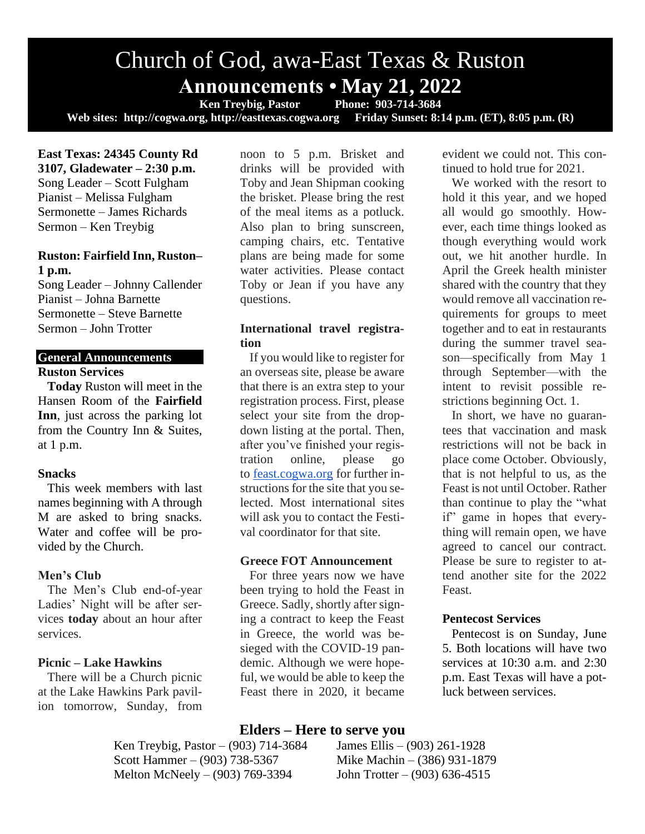# Church of God, awa-East Texas & Ruston **Announcements • May 21, 2022**<br>Ken Treybig, Pastor Phone: 903-714-3684

**Ken Treybig, Pastor Web sites: http://cogwa.org, http://easttexas.cogwa.org Friday Sunset: 8:14 p.m. (ET), 8:05 p.m. (R)**

**East Texas: 24345 County Rd 3107, Gladewater – 2:30 p.m.** Song Leader – Scott Fulgham Pianist – Melissa Fulgham Sermonette – James Richards Sermon – Ken Treybig

#### **Ruston: Fairfield Inn, Ruston– 1 p.m.**

Song Leader – Johnny Callender Pianist – Johna Barnette Sermonette – Steve Barnette Sermon – John Trotter

#### **General Announcements Ruston Services**

**Today** Ruston will meet in the Hansen Room of the **Fairfield Inn**, just across the parking lot from the Country Inn & Suites, at 1 p.m.

#### **Snacks**

This week members with last names beginning with A through M are asked to bring snacks. Water and coffee will be provided by the Church.

#### **Men's Club**

The Men's Club end-of-year Ladies' Night will be after services **today** about an hour after services.

#### **Picnic – Lake Hawkins**

There will be a Church picnic at the Lake Hawkins Park pavilion tomorrow, Sunday, from noon to 5 p.m. Brisket and drinks will be provided with Toby and Jean Shipman cooking the brisket. Please bring the rest of the meal items as a potluck. Also plan to bring sunscreen, camping chairs, etc. Tentative plans are being made for some water activities. Please contact Toby or Jean if you have any questions.

#### **International travel registration**

If you would like to register for an overseas site, please be aware that there is an extra step to your registration process. First, please select your site from the dropdown listing at the portal. Then, after you've finished your registration online, please go to [feast.cogwa.org](https://feast.cogwa.org/) for further instructions for the site that you selected. Most international sites will ask you to contact the Festival coordinator for that site.

#### **Greece FOT Announcement**

For three years now we have been trying to hold the Feast in Greece. Sadly, shortly after signing a contract to keep the Feast in Greece, the world was besieged with the COVID-19 pandemic. Although we were hopeful, we would be able to keep the Feast there in 2020, it became

evident we could not. This continued to hold true for 2021.

We worked with the resort to hold it this year, and we hoped all would go smoothly. However, each time things looked as though everything would work out, we hit another hurdle. In April the Greek health minister shared with the country that they would remove all vaccination requirements for groups to meet together and to eat in restaurants during the summer travel season—specifically from May 1 through September—with the intent to revisit possible restrictions beginning Oct. 1.

In short, we have no guarantees that vaccination and mask restrictions will not be back in place come October. Obviously, that is not helpful to us, as the Feast is not until October. Rather than continue to play the "what if" game in hopes that everything will remain open, we have agreed to cancel our contract. Please be sure to register to attend another site for the 2022 Feast.

#### **Pentecost Services**

Pentecost is on Sunday, June 5. Both locations will have two services at 10:30 a.m. and 2:30 p.m. East Texas will have a potluck between services.

# **Elders – Here to serve you**

Ken Treybig, Pastor – (903) 714-3684 James Ellis – (903) 261-1928 Scott Hammer – (903) 738-5367 Mike Machin – (386) 931-1879 Melton McNeely – (903) 769-3394 John Trotter – (903) 636-4515